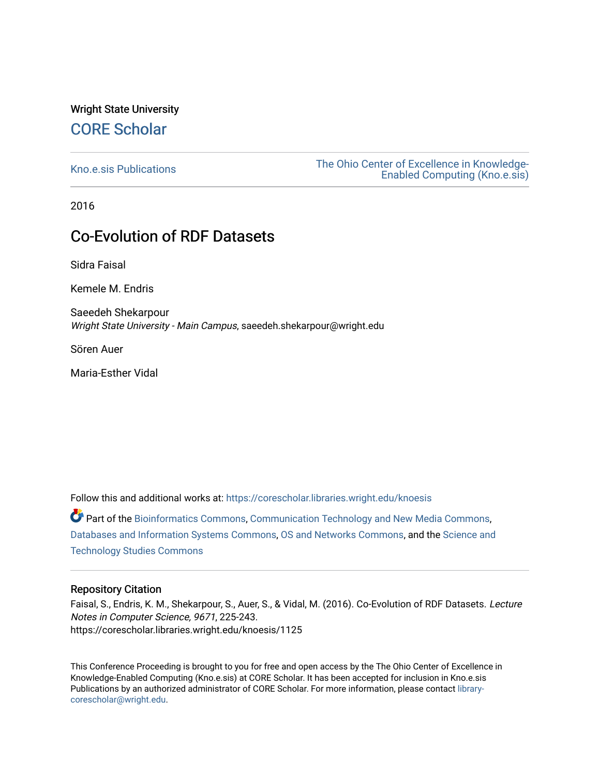# Wright State University [CORE Scholar](https://corescholar.libraries.wright.edu/)

[Kno.e.sis Publications](https://corescholar.libraries.wright.edu/knoesis) [The Ohio Center of Excellence in Knowledge-](https://corescholar.libraries.wright.edu/knoesis_comm)[Enabled Computing \(Kno.e.sis\)](https://corescholar.libraries.wright.edu/knoesis_comm) 

2016

# Co-Evolution of RDF Datasets

Sidra Faisal

Kemele M. Endris

Saeedeh Shekarpour Wright State University - Main Campus, saeedeh.shekarpour@wright.edu

Sören Auer

Maria-Esther Vidal

Follow this and additional works at: [https://corescholar.libraries.wright.edu/knoesis](https://corescholar.libraries.wright.edu/knoesis?utm_source=corescholar.libraries.wright.edu%2Fknoesis%2F1125&utm_medium=PDF&utm_campaign=PDFCoverPages) 

Part of the [Bioinformatics Commons,](http://network.bepress.com/hgg/discipline/110?utm_source=corescholar.libraries.wright.edu%2Fknoesis%2F1125&utm_medium=PDF&utm_campaign=PDFCoverPages) [Communication Technology and New Media Commons,](http://network.bepress.com/hgg/discipline/327?utm_source=corescholar.libraries.wright.edu%2Fknoesis%2F1125&utm_medium=PDF&utm_campaign=PDFCoverPages) [Databases and Information Systems Commons](http://network.bepress.com/hgg/discipline/145?utm_source=corescholar.libraries.wright.edu%2Fknoesis%2F1125&utm_medium=PDF&utm_campaign=PDFCoverPages), [OS and Networks Commons](http://network.bepress.com/hgg/discipline/149?utm_source=corescholar.libraries.wright.edu%2Fknoesis%2F1125&utm_medium=PDF&utm_campaign=PDFCoverPages), and the [Science and](http://network.bepress.com/hgg/discipline/435?utm_source=corescholar.libraries.wright.edu%2Fknoesis%2F1125&utm_medium=PDF&utm_campaign=PDFCoverPages) [Technology Studies Commons](http://network.bepress.com/hgg/discipline/435?utm_source=corescholar.libraries.wright.edu%2Fknoesis%2F1125&utm_medium=PDF&utm_campaign=PDFCoverPages) 

## Repository Citation

Faisal, S., Endris, K. M., Shekarpour, S., Auer, S., & Vidal, M. (2016). Co-Evolution of RDF Datasets. Lecture Notes in Computer Science, 9671, 225-243. https://corescholar.libraries.wright.edu/knoesis/1125

This Conference Proceeding is brought to you for free and open access by the The Ohio Center of Excellence in Knowledge-Enabled Computing (Kno.e.sis) at CORE Scholar. It has been accepted for inclusion in Kno.e.sis Publications by an authorized administrator of CORE Scholar. For more information, please contact [library](mailto:library-corescholar@wright.edu)[corescholar@wright.edu](mailto:library-corescholar@wright.edu).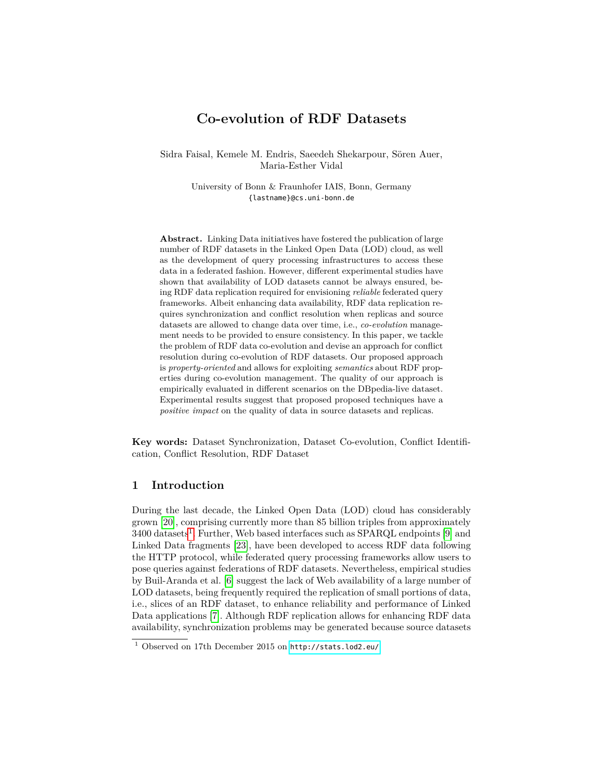## **Co-evolution of RDF Datasets**

Sidra Faisal, Kemele M. Endris, Saeedeh Shekarpour, Sören Auer, Maria-Esther Vidal

> University of Bonn & Fraunhofer IAIS, Bonn, Germany {lastname}@cs.uni-bonn.de

**Abstract.** Linking Data initiatives have fostered the publication of large number of RDF datasets in the Linked Open Data (LOD) cloud, as well as the development of query processing infrastructures to access these data in a federated fashion. However, different experimental studies have shown that availability of LOD datasets cannot be always ensured, being RDF data replication required for envisioning *reliable* federated query frameworks. Albeit enhancing data availability, RDF data replication requires synchronization and conflict resolution when replicas and source datasets are allowed to change data over time, i.e., *co-evolution* management needs to be provided to ensure consistency. In this paper, we tackle the problem of RDF data co-evolution and devise an approach for conflict resolution during co-evolution of RDF datasets. Our proposed approach is *property-oriented* and allows for exploiting *semantics* about RDF properties during co-evolution management. The quality of our approach is empirically evaluated in different scenarios on the DBpedia-live dataset. Experimental results suggest that proposed proposed techniques have a *positive impact* on the quality of data in source datasets and replicas.

**Key words:** Dataset Synchronization, Dataset Co-evolution, Conflict Identification, Conflict Resolution, RDF Dataset

### **1 Introduction**

During the last decade, the Linked Open Data (LOD) cloud has considerably grown [20], comprising currently more than 85 billion triples from approximately 3400 datasets<sup>1</sup>. Further, Web based interfaces such as SPARQL endpoints [9] and Linked Data fragments [23], have been developed to access RDF data following the HTTP protocol, while federated query processing frameworks allow users to pose queries against federations of RDF datasets. Nevertheless, empirical studies by Buil-Aranda et al. [6] suggest the lack of Web availability of a large number of LOD datasets, being frequently required the replication of small portions of data, i.e., slices of an RDF dataset, to enhance reliability and performance of Linked Data applications [7]. Although RDF replication allows for enhancing RDF data availability, synchronization problems may be generated because source datasets

<sup>1</sup> Observed on 17th December 2015 on <http://stats.lod2.eu/>.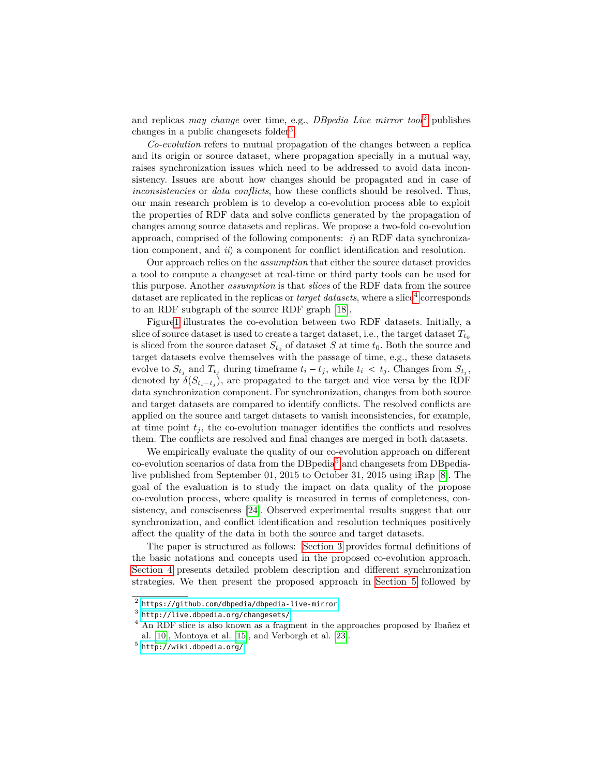and replicas *may change* over time, e.g., *DBpedia Live mirror tool*2 publishes changes in a public changesets folder<sup>3</sup>.

*Co-evolution* refers to mutual propagation of the changes between a replica and its origin or source dataset, where propagation specially in a mutual way, raises synchronization issues which need to be addressed to avoid data inconsistency. Issues are about how changes should be propagated and in case of *inconsistencies* or *data conflicts*, how these conflicts should be resolved. Thus, our main research problem is to develop a co-evolution process able to exploit the properties of RDF data and solve conflicts generated by the propagation of changes among source datasets and replicas. We propose a two-fold co-evolution approach, comprised of the following components: *i*) an RDF data synchronization component, and *ii*) a component for conflict identification and resolution.

Our approach relies on the *assumption* that either the source dataset provides a tool to compute a changeset at real-time or third party tools can be used for this purpose. Another *assumption* is that *slices* of the RDF data from the source dataset are replicated in the replicas or *target datasets*, where a slice<sup>4</sup> corresponds to an RDF subgraph of the source RDF graph [18].

Figure1 illustrates the co-evolution between two RDF datasets. Initially, a slice of source dataset is used to create a target dataset, i.e., the target dataset  $T_{t_0}$ is sliced from the source dataset  $S_{t_0}$  of dataset  $S$  at time  $t_0$ . Both the source and target datasets evolve themselves with the passage of time, e.g., these datasets evolve to  $S_{t_j}$  and  $T_{t_j}$  during timeframe  $t_i - t_j$ , while  $t_i \leq t_j$ . Changes from  $S_{t_j}$ , denoted by  $\delta(S_{t_i-t_j})$ , are propagated to the target and vice versa by the RDF data synchronization component. For synchronization, changes from both source and target datasets are compared to identify conflicts. The resolved conflicts are applied on the source and target datasets to vanish inconsistencies, for example, at time point  $t_i$ , the co-evolution manager identifies the conflicts and resolves them. The conflicts are resolved and final changes are merged in both datasets.

We empirically evaluate the quality of our co-evolution approach on different co-evolution scenarios of data from the DBpedia5 and changesets from DBpedialive published from September 01, 2015 to October 31, 2015 using iRap [8]. The goal of the evaluation is to study the impact on data quality of the propose co-evolution process, where quality is measured in terms of completeness, consistency, and consciseness [24]. Observed experimental results suggest that our synchronization, and conflict identification and resolution techniques positively affect the quality of the data in both the source and target datasets.

The paper is structured as follows: Section 3 provides formal definitions of the basic notations and concepts used in the proposed co-evolution approach. Section 4 presents detailed problem description and different synchronization strategies. We then present the proposed approach in Section 5 followed by

 $^2$  <https://github.com/dbpedia/dbpedia-live-mirror>

 $^3$  [http://live.dbpedia.org/changesets/](http://live.dbpedia.org/change sets/)

<sup>4</sup> An RDF slice is also known as a fragment in the approaches proposed by Ibañez et al. [10], Montoya et al. [15], and Verborgh et al. [23].

<sup>5</sup> <http://wiki.dbpedia.org/>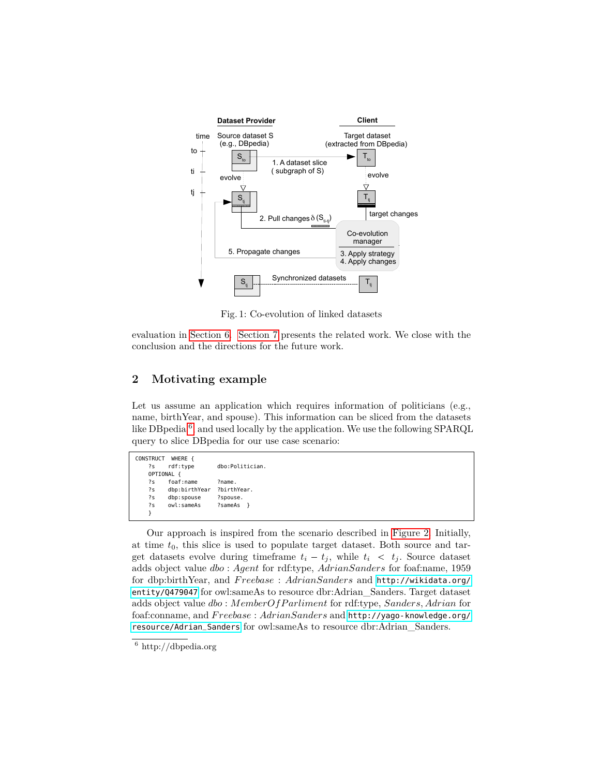

Fig. 1: Co-evolution of linked datasets

evaluation in Section 6. Section 7 presents the related work. We close with the conclusion and the directions for the future work.

## **2 Motivating example**

Let us assume an application which requires information of politicians (e.g., name, birthYear, and spouse). This information can be sliced from the datasets like DBpedia<sup>6</sup>, and used locally by the application. We use the following SPARQL query to slice DBpedia for our use case scenario:

```
CONSTRUCT WHERE {
    ?s rdf:type dbo:Politician.
    OPTIONAL {
    ?s foaf:name ?name.<br>?s dbp:birthYear ?birthYear.
    ?s dbp:birthYear
    ?s dbp:spouse ?spouse.<br>?s owl:sameAs ?sameAs }
    ?s owl:sameAs
    }
```
Our approach is inspired from the scenario described in Figure 2. Initially, at time  $t_0$ , this slice is used to populate target dataset. Both source and target datasets evolve during timeframe  $t_i - t_j$ , while  $t_i < t_j$ . Source dataset adds object value *dbo* : *Agent* for rdf:type, *AdrianSanders* for foaf:name, 1959 for dbp:birthYear, and *F reebase* : *AdrianSanders* and [http://wikidata.org/](http://wikidata.org/entity/Q479047) [entity/Q479047](http://wikidata.org/entity/Q479047) for owl:sameAs to resource dbr:Adrian\_Sanders. Target dataset adds object value *dbo* : *MemberOfP arliment* for rdf:type, *Sanders, Adrian* for foaf:conname, and *F reebase* : *AdrianSanders* and [http://yago-knowledge.org/](http://yago-knowledge.org/resource/Adrian_Sanders) [resource/Adrian\\_Sanders](http://yago-knowledge.org/resource/Adrian_Sanders) for owl:sameAs to resource dbr:Adrian\_Sanders.

 $\sqrt{6}$  http://dbpedia.org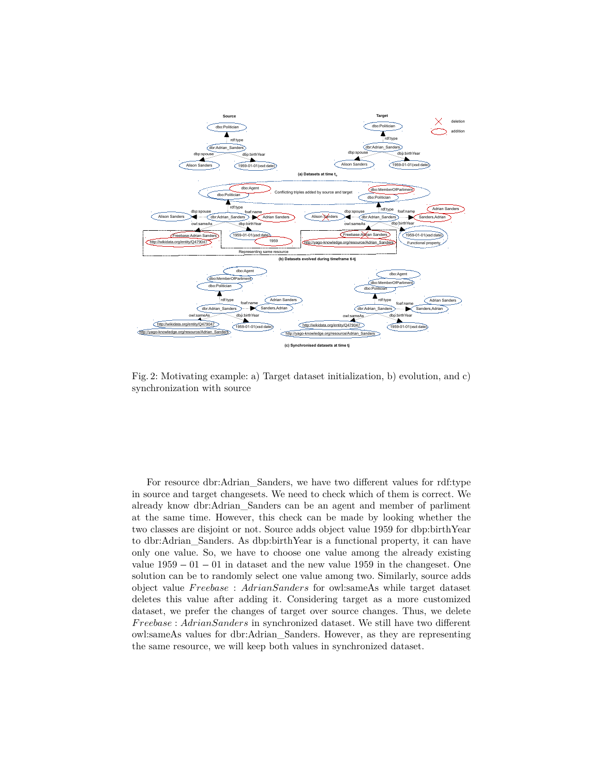

Fig. 2: Motivating example: a) Target dataset initialization, b) evolution, and c) synchronization with source

For resource dbr:Adrian\_Sanders, we have two different values for rdf:type in source and target changesets. We need to check which of them is correct. We already know dbr:Adrian\_Sanders can be an agent and member of parliment at the same time. However, this check can be made by looking whether the two classes are disjoint or not. Source adds object value 1959 for dbp:birthYear to dbr:Adrian\_Sanders. As dbp:birthYear is a functional property, it can have only one value. So, we have to choose one value among the already existing value  $1959 - 01 - 01$  in dataset and the new value 1959 in the changeset. One solution can be to randomly select one value among two. Similarly, source adds object value *F reebase* : *AdrianSanders* for owl:sameAs while target dataset deletes this value after adding it. Considering target as a more customized dataset, we prefer the changes of target over source changes. Thus, we delete *F reebase* : *AdrianSanders* in synchronized dataset. We still have two different owl:sameAs values for dbr:Adrian\_Sanders. However, as they are representing the same resource, we will keep both values in synchronized dataset.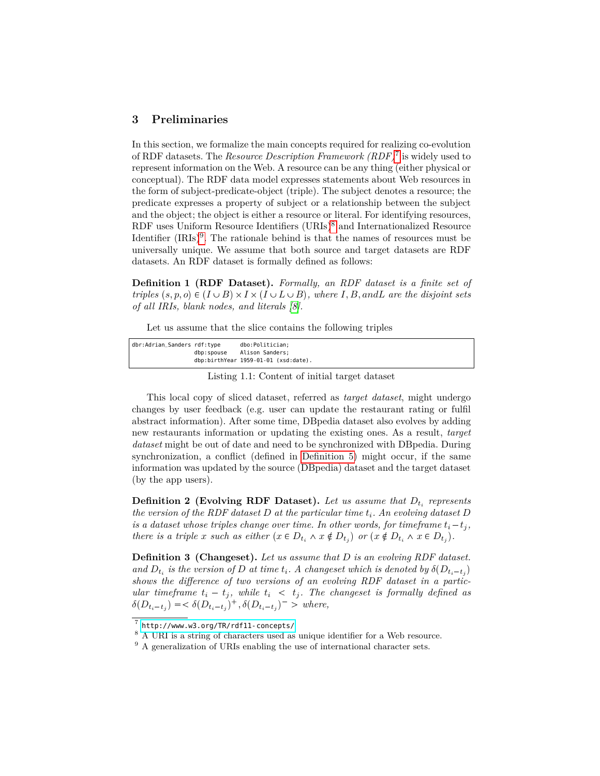#### **3 Preliminaries**

In this section, we formalize the main concepts required for realizing co-evolution of RDF datasets. The *Resource Description Framework (RDF)*7 is widely used to represent information on the Web. A resource can be any thing (either physical or conceptual). The RDF data model expresses statements about Web resources in the form of subject-predicate-object (triple). The subject denotes a resource; the predicate expresses a property of subject or a relationship between the subject and the object; the object is either a resource or literal. For identifying resources, RDF uses Uniform Resource Identifiers  $(URIs)^8$  and Internationalized Resource Identifier  $(IRIs)^9$ . The rationale behind is that the names of resources must be universally unique. We assume that both source and target datasets are RDF datasets. An RDF dataset is formally defined as follows:

**Definition 1 (RDF Dataset).** *Formally, an RDF dataset is a finite set of triples*  $(s, p, o) \in (I \cup B) \times I \times (I \cup L \cup B)$ , where *I, B, andL* are the disjoint sets *of all IRIs, blank nodes, and literals [8].*

Let us assume that the slice contains the following triples

| dbr:Adrian Sanders rdf:tvpe | dbo:Politician:                      |
|-----------------------------|--------------------------------------|
|                             | dbp:spouse Alison Sanders:           |
|                             | dbp:birthYear 1959-01-01 (xsd:date). |

Listing 1.1: Content of initial target dataset

This local copy of sliced dataset, referred as *target dataset*, might undergo changes by user feedback (e.g. user can update the restaurant rating or fulfil abstract information). After some time, DBpedia dataset also evolves by adding new restaurants information or updating the existing ones. As a result, *target dataset* might be out of date and need to be synchronized with DBpedia. During synchronization, a conflict (defined in Definition 5) might occur, if the same information was updated by the source (DBpedia) dataset and the target dataset (by the app users).

**Definition 2 (Evolving RDF Dataset).** *Let us assume that Dt<sup>i</sup> represents the version of the RDF dataset D at the particular time ti. An evolving dataset D is a dataset whose triples change over time. In other words, for timeframe*  $t_i - t_j$ , there is a triple x such as either  $(x \in D_{t_i} \wedge x \notin D_{t_j})$  or  $(x \notin D_{t_i} \wedge x \in D_{t_j})$ .

**Definition 3 (Changeset).** *Let us assume that D is an evolving RDF dataset. and*  $D_{t_i}$  *is the version of*  $D$  *at time*  $t_i$ *.* A changeset which is denoted by  $\delta(D_{t_i-t_j})$ *shows the difference of two versions of an evolving RDF dataset in a particular timeframe*  $t_i - t_j$ *, while*  $t_i < t_j$ *. The changeset is formally defined as*  $\delta(D_{t_i-t_j}) = \delta(D_{t_i-t_j})^+, \delta(D_{t_i-t_j})^- > \text{where},$ 

 $^7$  <http://www.w3.org/TR/rdf11-concepts/>

 $^8$  A URI is a string of characters used as unique identifier for a Web resource.

<sup>&</sup>lt;sup>9</sup> A generalization of URIs enabling the use of international character sets.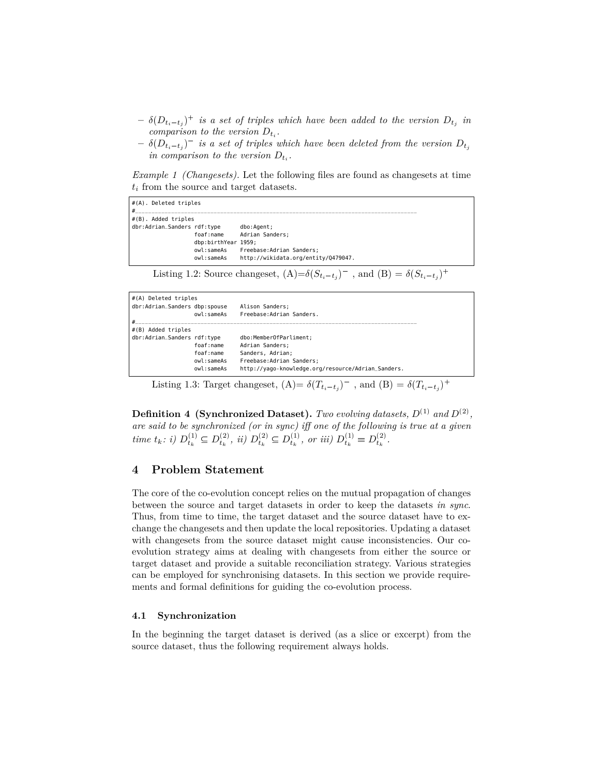- $-\delta(D_{t_i-t_j})^+$  *is a set of triples which have been added to the version*  $D_{t_j}$  *in comparison to the version*  $D_{t_i}$ .
- $-\delta(D_{t_i-t_j})$ <sup> $-$ </sup> is a set of triples which have been deleted from the version  $D_{t_j}$ *in comparison to the version*  $D_{t_i}$ .

*Example 1 (Changesets).* Let the following files are found as changesets at time *t<sup>i</sup>* from the source and target datasets.

| #(A). Deleted triples       |                     |                                     |
|-----------------------------|---------------------|-------------------------------------|
| #(B). Added triples         |                     |                                     |
| dbr:Adrian_Sanders rdf:type |                     | dbo:Agent;                          |
|                             | foaf:name           | Adrian Sanders:                     |
|                             | dbp:birthYear 1959; |                                     |
|                             |                     | owl:sameAs Freebase:Adrian Sanders; |
|                             | owl:sameAs          | http://wikidata.org/entity/0479047. |

Listing 1.2: Source changeset,  $(A) = \delta(S_{t_i-t_j})$ <sup>-</sup>, and  $(B) = \delta(S_{t_i-t_j})$ <sup>+</sup>

| dbr:Adrian_Sanders dbp:spouse |            | Alison Sanders:                                    |
|-------------------------------|------------|----------------------------------------------------|
|                               | owl:sameAs | Freebase: Adrian Sanders.                          |
|                               |            |                                                    |
| #(B) Added triples            |            |                                                    |
| dbr:Adrian_Sanders rdf:type   |            | dbo:MemberOfParliment:                             |
|                               | foaf:name  | Adrian Sanders:                                    |
|                               | foaf:name  | Sanders, Adrian:                                   |
|                               | owl:sameAs | Freebase: Adrian Sanders:                          |
|                               | owl:sameAs | http://yaqo-knowledge.org/resource/Adrian_Sanders. |

Listing 1.3: Target changeset,  $(A) = \delta(T_{t_i - t_j})$ <sup>-</sup>, and  $(B) = \delta(T_{t_i - t_j})$ <sup>+</sup>

**Definition 4 (Synchronized Dataset).** *Two evolving datasets,*  $D^{(1)}$  and  $D^{(2)}$ , *are said to be synchronized (or in sync) iff one of the following is true at a given* time  $t_k$ : i)  $D_{t_k}^{(1)} \subseteq D_{t_k}^{(2)}$ , ii)  $D_{t_k}^{(2)} \subseteq D_{t_k}^{(1)}$ , or iii)  $D_{t_k}^{(1)} \equiv D_{t_k}^{(2)}$ .

### **4 Problem Statement**

The core of the co-evolution concept relies on the mutual propagation of changes between the source and target datasets in order to keep the datasets *in sync*. Thus, from time to time, the target dataset and the source dataset have to exchange the changesets and then update the local repositories. Updating a dataset with changesets from the source dataset might cause inconsistencies. Our coevolution strategy aims at dealing with changesets from either the source or target dataset and provide a suitable reconciliation strategy. Various strategies can be employed for synchronising datasets. In this section we provide requirements and formal definitions for guiding the co-evolution process.

#### **4.1 Synchronization**

In the beginning the target dataset is derived (as a slice or excerpt) from the source dataset, thus the following requirement always holds.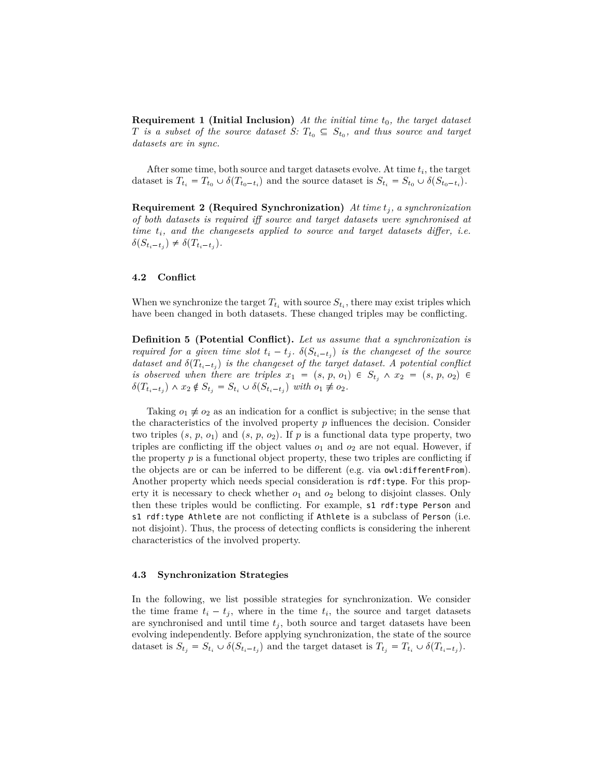**Requirement 1 (Initial Inclusion)** *At the initial time t*0*, the target dataset T is a subset of the source dataset S:*  $T_{t_0} \subseteq S_{t_0}$ , and thus source and target *datasets are in sync.*

After some time, both source and target datasets evolve. At time *t<sup>i</sup>* , the target dataset is  $T_{t_i} = T_{t_0} \cup \delta(T_{t_0 - t_i})$  and the source dataset is  $S_{t_i} = S_{t_0} \cup \delta(S_{t_0 - t_i})$ .

**Requirement 2 (Required Synchronization)** *At time t<sup>j</sup> , a synchronization of both datasets is required iff source and target datasets were synchronised at time ti, and the changesets applied to source and target datasets differ, i.e.*  $\delta(S_{t_i-t_j}) \neq \delta(T_{t_i-t_j}).$ 

#### **4.2 Conflict**

When we synchronize the target  $T_{t_i}$  with source  $S_{t_i}$ , there may exist triples which have been changed in both datasets. These changed triples may be conflicting.

**Definition 5 (Potential Conflict).** *Let us assume that a synchronization is required for a given time slot*  $t_i - t_j$ .  $\delta(S_{t_i - t_j})$  *is the changeset of the source dataset and*  $\delta(T_{t_i-t_j})$  *is the changeset of the target dataset. A potential conflict is observed when there are triples*  $x_1 = (s, p, o_1) \in S_{t_j} \wedge x_2 = (s, p, o_2) \in S_{t_j}$  $\delta(T_{t_i-t_j}) \wedge x_2 \notin S_{t_j} = S_{t_i} \cup \delta(S_{t_i-t_j})$  with  $o_1 \neq o_2$ .

Taking  $o_1 \neq o_2$  as an indication for a conflict is subjective; in the sense that the characteristics of the involved property *p* influences the decision. Consider two triples  $(s, p, o_1)$  and  $(s, p, o_2)$ . If *p* is a functional data type property, two triples are conflicting iff the object values  $o_1$  and  $o_2$  are not equal. However, if the property  $p$  is a functional object property, these two triples are conflicting if the objects are or can be inferred to be different (e.g. via owl:differentFrom). Another property which needs special consideration is rdf:type. For this property it is necessary to check whether  $o_1$  and  $o_2$  belong to disjoint classes. Only then these triples would be conflicting. For example, s1 rdf:type Person and s1 rdf:type Athlete are not conflicting if Athlete is a subclass of Person (i.e. not disjoint). Thus, the process of detecting conflicts is considering the inherent characteristics of the involved property.

#### **4.3 Synchronization Strategies**

In the following, we list possible strategies for synchronization. We consider the time frame  $t_i - t_j$ , where in the time  $t_i$ , the source and target datasets are synchronised and until time  $t_j$ , both source and target datasets have been evolving independently. Before applying synchronization, the state of the source dataset is  $S_{t_j} = S_{t_i} \cup \delta(S_{t_i-t_j})$  and the target dataset is  $T_{t_j} = T_{t_i} \cup \delta(T_{t_i-t_j})$ .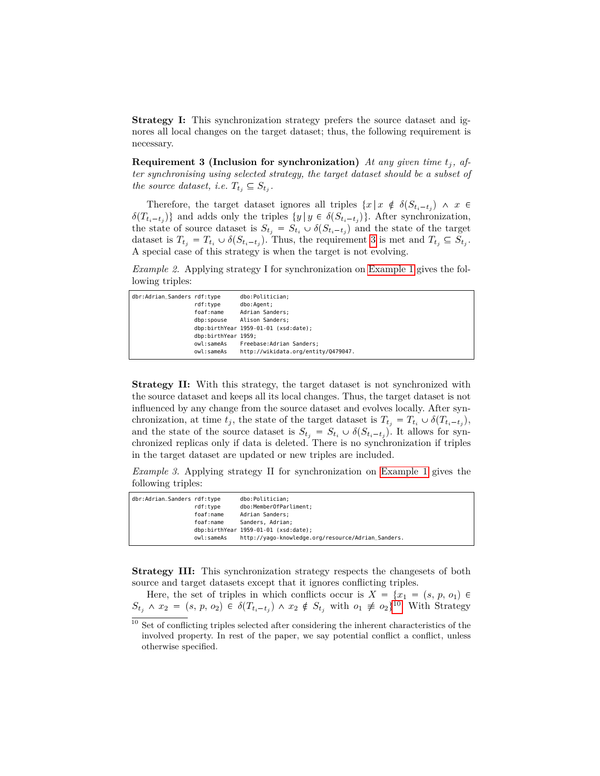**Strategy I:** This synchronization strategy prefers the source dataset and ignores all local changes on the target dataset; thus, the following requirement is necessary.

**Requirement 3 (Inclusion for synchronization)** At any given time  $t_i$ , af*ter synchronising using selected strategy, the target dataset should be a subset of the source dataset, i.e.*  $T_{t_j} \subseteq S_{t_j}$ .

Therefore, the target dataset ignores all triples  $\{x \mid x \notin \delta(S_{t_i-t_j}) \land x \in$  $\delta(T_{t_i-t_j})$  and adds only the triples  $\{y \mid y \in \delta(S_{t_i-t_j})\}$ . After synchronization, the state of source dataset is  $S_{t_j} = S_{t_i} \cup \delta(S_{t_i-t_j})$  and the state of the target dataset is  $T_{t_j} = T_{t_i} \cup \delta(S_{t_i - t_j})$ . Thus, the requirement 3 is met and  $T_{t_j} \subseteq S_{t_j}$ . A special case of this strategy is when the target is not evolving.

*Example 2.* Applying strategy I for synchronization on Example 1 gives the following triples:

| dbr:Adrian_Sanders rdf:type |                     | dbo:Politician;                        |
|-----------------------------|---------------------|----------------------------------------|
|                             | rdf:tvpe            | dbo:Agent;                             |
|                             | foaf:name           | Adrian Sanders:                        |
|                             | dbp:spouse          | Alison Sanders;                        |
|                             |                     | $dbp:birthYear$ 1959-01-01 (xsd:date); |
|                             | dbp:birthYear 1959; |                                        |
|                             | owl:sameAs          | Freebase:Adrian Sanders:               |
|                             | owl:sameAs          | http://wikidata.org/entity/0479047.    |

**Strategy II:** With this strategy, the target dataset is not synchronized with the source dataset and keeps all its local changes. Thus, the target dataset is not influenced by any change from the source dataset and evolves locally. After synchronization, at time  $t_j$ , the state of the target dataset is  $T_{t_j} = T_{t_i} \cup \delta(T_{t_i - t_j})$ , and the state of the source dataset is  $S_{t_j} = S_{t_i} \cup \delta(S_{t_i-t_j})$ . It allows for synchronized replicas only if data is deleted. There is no synchronization if triples in the target dataset are updated or new triples are included.

*Example 3.* Applying strategy II for synchronization on Example 1 gives the following triples:

| dbr:Adrian_Sanders rdf:type | rdf:type   | dbo:Politician:<br>dbo:MemberOfParliment;          |
|-----------------------------|------------|----------------------------------------------------|
|                             | foaf:name  | Adrian Sanders;                                    |
|                             | foaf:name  | Sanders, Adrian;                                   |
|                             |            | $dbp:birthYear$ 1959-01-01 (xsd:date);             |
|                             | owl:sameAs | http://yaqo-knowledge.org/resource/Adrian_Sanders. |

**Strategy III:** This synchronization strategy respects the changesets of both source and target datasets except that it ignores conflicting triples.

Here, the set of triples in which conflicts occur is  $X = \{x_1 = (s, p, o_1) \in$  $S_{t_j} \wedge x_2 = (s, p, o_2) \in \delta(T_{t_i-t_j}) \wedge x_2 \notin S_{t_j}$  with  $o_1 \neq o_2$ <sup>10</sup>. With Strategy

 $^{10}$  Set of conflicting triples selected after considering the inherent characteristics of the involved property. In rest of the paper, we say potential conflict a conflict, unless otherwise specified.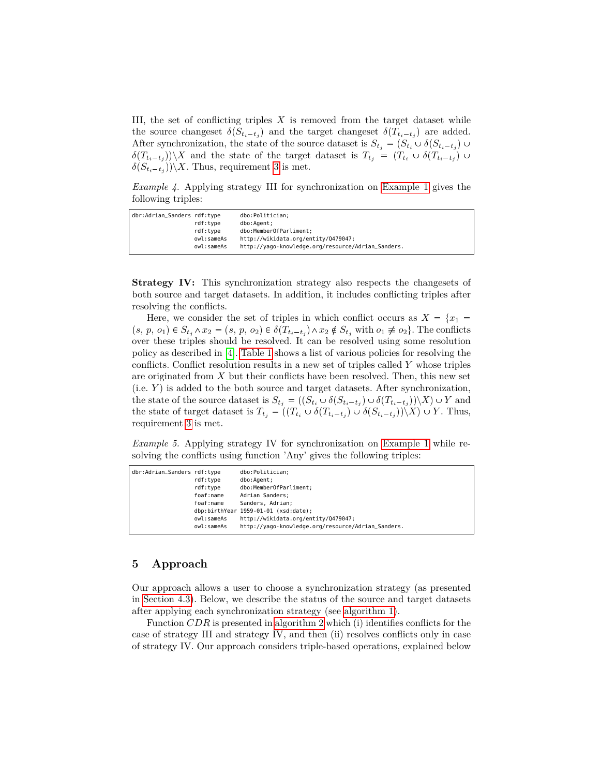III, the set of conflicting triples *X* is removed from the target dataset while the source changeset  $\delta(S_{t_i-t_j})$  and the target changeset  $\delta(T_{t_i-t_j})$  are added. After synchronization, the state of the source dataset is  $S_{t_j} = (S_{t_i} \cup \delta(S_{t_i-t_j}) \cup$  $\delta(T_{t_i-t_j})\setminus X$  and the state of the target dataset is  $T_{t_j} = (T_{t_i} \cup \delta(T_{t_i-t_j}))$  $\delta(S_{t_i-t_j})$ )  $\X$ . Thus, requirement 3 is met.

*Example 4.* Applying strategy III for synchronization on Example 1 gives the following triples:

| dbr:Adrian_Sanders rdf:type<br>rdf:type<br>rdf:tvpe<br>owl:sameAs<br>owl:sameAs | dbo:Politician:<br>dbo:Agent:<br>dbo:MemberOfParliment:<br>http://wikidata.org/entity/0479047;<br>http://yaqo-knowledge.org/resource/Adrian_Sanders. |  |
|---------------------------------------------------------------------------------|------------------------------------------------------------------------------------------------------------------------------------------------------|--|
|---------------------------------------------------------------------------------|------------------------------------------------------------------------------------------------------------------------------------------------------|--|

**Strategy IV:** This synchronization strategy also respects the changesets of both source and target datasets. In addition, it includes conflicting triples after resolving the conflicts.

Here, we consider the set of triples in which conflict occurs as  $X = \{x_1 = x_2\}$  $p(s, p, o_1) \in S_{t_j} \wedge x_2 = (s, p, o_2) \in \delta(T_{t_i - t_j}) \wedge x_2 \notin S_{t_j}$  with  $o_1 \neq o_2$ . The conflicts over these triples should be resolved. It can be resolved using some resolution policy as described in [4]. Table 1 shows a list of various policies for resolving the conflicts. Conflict resolution results in a new set of triples called *Y* whose triples are originated from *X* but their conflicts have been resolved. Then, this new set (i.e. *Y* ) is added to the both source and target datasets. After synchronization, the state of the source dataset is  $S_{t_j} = ((S_{t_i} \cup \delta(S_{t_i-t_j}) \cup \delta(T_{t_i-t_j})) \setminus X) \cup Y$  and the state of target dataset is  $T_{t_j} = ((T_{t_i} \cup \delta(T_{t_i-t_j}) \cup \delta(S_{t_i-t_j}))\backslash X) \cup Y$ . Thus, requirement 3 is met.

*Example 5.* Applying strategy IV for synchronization on Example 1 while resolving the conflicts using function 'Any' gives the following triples:

| dbr:Adrian_Sanders rdf:type<br>rdf:type<br>rdf:tvpe<br>foaf:name<br>foaf:name<br>owl:sameAs<br>owl:sameAs | dbo:Politician;<br>dbo:Agent;<br>dbo:MemberOfParliment:<br>Adrian Sanders:<br>Sanders, Adrian:<br>$dbp:birthYear$ 1959-01-01 (xsd:date);<br>http://wikidata.org/entity/0479047;<br>http://yaqo-knowledge.org/resource/Adrian_Sanders. |
|-----------------------------------------------------------------------------------------------------------|---------------------------------------------------------------------------------------------------------------------------------------------------------------------------------------------------------------------------------------|
|-----------------------------------------------------------------------------------------------------------|---------------------------------------------------------------------------------------------------------------------------------------------------------------------------------------------------------------------------------------|

## **5 Approach**

Our approach allows a user to choose a synchronization strategy (as presented in Section 4.3). Below, we describe the status of the source and target datasets after applying each synchronization strategy (see algorithm 1).

Function *CDR* is presented in algorithm 2 which (i) identifies conflicts for the case of strategy III and strategy IV, and then (ii) resolves conflicts only in case of strategy IV. Our approach considers triple-based operations, explained below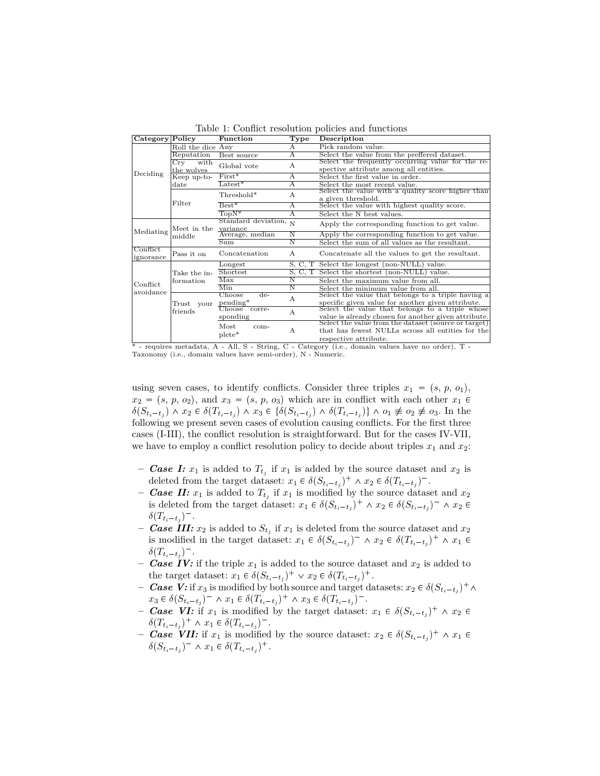| Category Policy       |                                | <b>Function</b>          | Type           | Description                                          |
|-----------------------|--------------------------------|--------------------------|----------------|------------------------------------------------------|
|                       | Roll the dice Any              |                          | A              | Pick random value.                                   |
|                       | Reputation                     | Best source              | А              | Select the value from the preffered dataset.         |
|                       | Crv<br>with                    | Global vote              | A              | Select the frequently occurring value for the re-    |
|                       | the wolves                     |                          |                | spective attribute among all entities.               |
| Deciding              | Keep up-to-                    | $First*$                 | А              | Select the first value in order.                     |
|                       | date                           | $Latest*$                | $\overline{A}$ | Select the most recent value.                        |
|                       |                                | Threshold*               | $\mathsf{A}$   | Select the value with a quality score higher than    |
|                       |                                |                          |                | a given threshold.                                   |
|                       | Filter                         | $Best*$                  | А              | Select the value with highest quality score.         |
|                       |                                | $TopN^*$                 | Α              | Select the N best values.                            |
|                       |                                | Standard deviation, $_N$ |                | Apply the corresponding function to get value.       |
| Mediating             | Meet in the variance<br>middle |                          |                |                                                      |
|                       |                                | Average, median          | N              | Apply the corresponding function to get value.       |
|                       |                                | Sum                      | N              | Select the sum of all values as the resultant.       |
| Conflict<br>ignorance | Pass it on                     | Concatenation            | $\mathsf{A}$   | Concatenate all the values to get the resultant.     |
|                       |                                | Longest                  |                | S, C, T Select the longest (non-NULL) value.         |
|                       | Take the in-                   | Shortest                 |                | S, C, T Select the shortest (non-NULL) value.        |
|                       | formation                      | $\overline{\text{Max}}$  | $_\mathrm{N}$  | Select the maximum value from all.                   |
| Conflict              |                                | Min                      | N              | Select the minimum value from all.                   |
| avoidance             |                                | Choose<br>$de-$          | $\mathsf{A}$   | Select the value that belongs to a triple having a   |
|                       | Trust your                     | pending*                 |                | specific given value for another given attribute.    |
|                       | friends                        | Choose<br>corre-         | $\mathsf{A}$   | Select the value that belongs to a triple whose      |
|                       |                                | sponding                 |                | value is already chosen for another given attribute. |
|                       |                                | Most<br>com-             |                | Select the value from the dataset (source or target) |
|                       |                                | $plete$ *                | А              | that has fewest NULLs across all entities for the    |
|                       |                                |                          |                | respective attribute.                                |

Table 1: Conflict resolution policies and functions

respective attribute. \* - requires metadata, A - All, S - String, C - Category (i.e., domain values have no order), T - Taxonomy (i.e., domain values have semi-order), N - Numeric.

using seven cases, to identify conflicts. Consider three triples  $x_1 = (s, p, o_1)$ ,  $x_2 = (s, p, o_2)$ , and  $x_3 = (s, p, o_3)$  which are in conflict with each other  $x_1 \in$  $\delta(S_{t_i-t_j}) \wedge x_2 \in \delta(T_{t_i-t_j}) \wedge x_3 \in \{\delta(S_{t_i-t_j}) \wedge \delta(T_{t_i-t_j})\} \wedge o_1 \neq o_2 \neq o_3$ . In the following we present seven cases of evolution causing conflicts. For the first three cases (I-III), the conflict resolution is straightforward. But for the cases IV-VII, we have to employ a conflict resolution policy to decide about triples  $x_1$  and  $x_2$ :

- **–** *Case I: x*<sup>1</sup> is added to *Tt<sup>j</sup>* if *x*<sup>1</sup> is added by the source dataset and *x*<sup>2</sup> is deleted from the target dataset:  $x_1 \in \delta(S_{t_i-t_j})^+ \wedge x_2 \in \delta(T_{t_i-t_j})^-$ .
- $-$  *Case II:*  $x_1$  is added to  $T_{t_j}$  if  $x_1$  is modified by the source dataset and  $x_2$ is deleted from the target dataset:  $x_1 \in \delta(S_{t_i-t_j})^+ \wedge x_2 \in \delta(S_{t_i-t_j})^- \wedge x_2 \in$  $\delta(T_{t_i-t_j})^{-1}$ .
- **–** *Case III: x*<sup>2</sup> is added to *S<sup>t</sup><sup>j</sup>* if *x*<sup>1</sup> is deleted from the source dataset and *x*<sup>2</sup> is modified in the target dataset:  $x_1 \in \delta(S_{t_i-t_j})^- \wedge x_2 \in \delta(T_{t_i-t_j})^+ \wedge x_1 \in$  $\delta(T_{t_i-t_j})$ <sup>-</sup>.
- **–** *Case IV:* if the triple *x*<sup>1</sup> is added to the source dataset and *x*<sup>2</sup> is added to the target dataset:  $x_1 \in \delta(S_{t_i-t_j})^+ \vee x_2 \in \delta(T_{t_i-t_j})^+$ .
- *- Case V:* if  $x_3$  is modified by both source and target datasets:  $x_2 \in \delta(S_{t_i-t_j})^+ \wedge$  $x_3 \in \delta(S_{t_i-t_j})^- \land x_1 \in \delta(T_{t_i-t_j})^+ \land x_3 \in \delta(T_{t_i-t_j})^-$ .
- *Case VI:* **if**  $x_1$  **is modified by the target dataset:**  $x_1 \in \delta(S_{t_i-t_j})^+ \wedge x_2 \in$  $\delta(T_{t_i-t_j})^+ \wedge x_1 \in \delta(T_{t_i-t_j})^-.$
- *Case VII:* **if**  $x_1$  **is modified by the source dataset:**  $x_2 \in \delta(S_{t_i-t_j})^+ \wedge x_1 \in$  $\delta(S_{t_i-t_j})^{-} \wedge x_1 \in \delta(T_{t_i-t_j})^{+}.$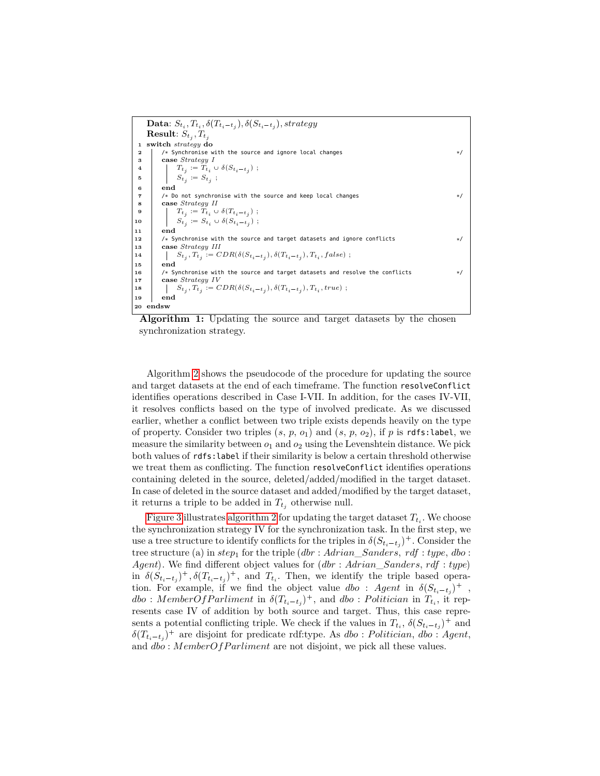$\overline{\textbf{Data}: S_{t_i}, T_{t_i}, \delta(T_{t_i - t_j}), \delta(S_{t_i - t_j}), strategy}$  $\mathbf{Result:}\ S_{t_{j}}, T_{t_{j}}$ **1 switch** *strategy* **do 2** /\* Synchronise with the source and ignore local changes  $*$ /<br>**2 case** Strategy I **3 case** *Strategy I*<br> **4 d**  $T_{t_j} := T_{t_i} \cup \delta(S_{t_i - t_j})$ ; **5**  $S_t$   $S_{t_j}$  :=  $S_{t_j}$  ; **6 end 7** /\* Do not synchronise with the source and keep local changes  $*$ /<br>8 **case** Strategy II **8 case** *Strategy II*<br> **9**  $T_{t_j} := T_{t_i} \cup \delta(T_{t_i - t_j})$ ; **10**  $S_{t_j} := S_{t_i} \cup \delta(S_{t_i - t_j})$ ; **11 end** <sup>12</sup> /\* Synchronise with the source and target datasets and ignore conflicts<br> **13 case** *Strategy III* **13 case** *Strategy III*<br> **14 b**  $S_{tj}$ ,  $T_{tj}$  :=  $CDR(\delta(S_{t_i-t_j}), \delta(T_{t_i-t_j}), T_{t_i}, false)$ ; **15 end 16** /\* Synchronise with the source and target datasets and resolve the conflicts  $*$ /<br>**17 case** *Strategy IV* **17 case** *Strategy IV* **18 c**  $S_{t_j}, T_{t_j} := CDR(\delta(S_{t_i-t_j}), \delta(T_{t_i-t_j}), T_{t_i}, true)$ ; **19 end 20 endsw**

**Algorithm 1:** Updating the source and target datasets by the chosen synchronization strategy.

Algorithm 2 shows the pseudocode of the procedure for updating the source and target datasets at the end of each timeframe. The function resolveConflict identifies operations described in Case I-VII. In addition, for the cases IV-VII, it resolves conflicts based on the type of involved predicate. As we discussed earlier, whether a conflict between two triple exists depends heavily on the type of property. Consider two triples  $(s, p, o_1)$  and  $(s, p, o_2)$ , if *p* is rdfs:label, we measure the similarity between  $o_1$  and  $o_2$  using the Levenshtein distance. We pick both values of rdfs:label if their similarity is below a certain threshold otherwise we treat them as conflicting. The function resolveConflict identifies operations containing deleted in the source, deleted/added/modified in the target dataset. In case of deleted in the source dataset and added/modified by the target dataset, it returns a triple to be added in  $T_{t_j}$  otherwise null.

Figure 3 illustrates algorithm 2 for updating the target dataset  $T_{t_i}$ . We choose the synchronization strategy IV for the synchronization task. In the first step, we use a tree structure to identify conflicts for the triples in  $\delta(S_{t_i-t_j})^+$ . Consider the tree structure (a) in  $step_1$  for the triple  $(dbr : Adrian$  *Sanders, rdf* : *type, dbo* : *Agent*). We find different object values for  $(dbr : Adrian\_Sanders, rdf : type)$ in  $\delta(S_{t_i-t_j})^+$ ,  $\delta(T_{t_i-t_j})^+$ , and  $T_{t_i}$ . Then, we identify the triple based operation. For example, if we find the object value *dbo* : Agent in  $\delta(S_{t_i-t_j})^+$ ,  $dbo: MemberOfParliment$  in  $\delta(T_{t_i-t_j})^+$ , and  $dbo: Politician$  in  $T_{t_i}$ , it represents case IV of addition by both source and target. Thus, this case represents a potential conflicting triple. We check if the values in  $T_{t_i}$ ,  $\delta(S_{t_i-t_j})^+$  and  $\delta(T_{t_i-t_j})^+$  are disjoint for predicate rdf:type. As *dbo* : *Politician*, *dbo* : *Agent*, and *dbo* : *MemberOfParliment* are not disjoint, we pick all these values.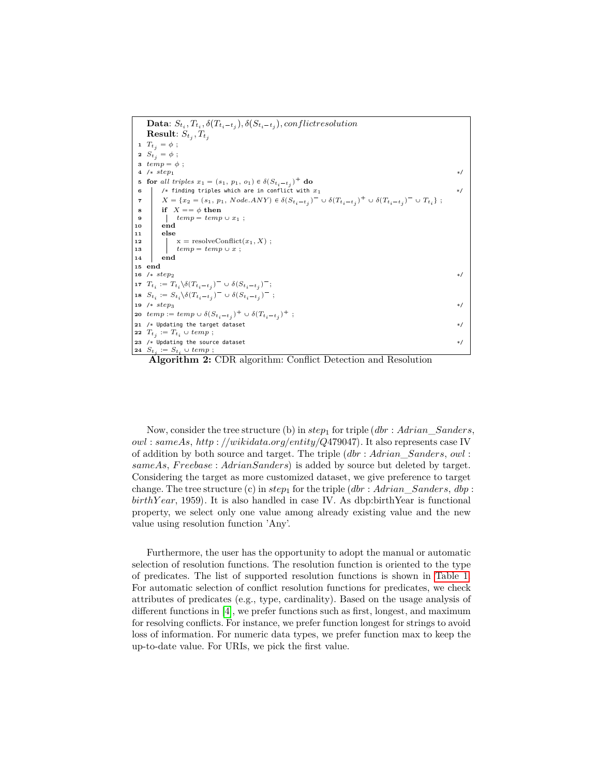|          | <b>Data</b> : $S_{t_i}, T_{t_i}, \delta(T_{t_i-t_i}), \delta(S_{t_i-t_i}),$ conflict resolution                                      |         |
|----------|--------------------------------------------------------------------------------------------------------------------------------------|---------|
|          | <b>Result:</b> $S_{t_i}, T_{t_i}$                                                                                                    |         |
|          | 1 $T_{t_i} = \phi$ ;                                                                                                                 |         |
|          | 2 $S_{t_i} = \phi$ ;                                                                                                                 |         |
|          | $3 \; temp = \phi$ :                                                                                                                 |         |
|          | 4 /* $step_1$                                                                                                                        | $*$     |
|          | 5 for all triples $x_1 = (s_1, p_1, o_1) \in \delta(S_{t_i - t_i})^+$ do                                                             |         |
| 6        | /* finding triples which are in conflict with $x_1$                                                                                  | $\ast/$ |
| 7        | $X = \{x_2 = (s_1, p_1, Node.ANY) \in \delta(S_{t_i-t_i})^- \cup \delta(T_{t_i-t_i})^+ \cup \delta(T_{t_i-t_i})^- \cup T_{t_i}\}\;;$ |         |
| 8        | if $X == \phi$ then                                                                                                                  |         |
| 9        | $temp = temp \cup x_1$ ;                                                                                                             |         |
| 10       | end                                                                                                                                  |         |
| 11       | else                                                                                                                                 |         |
| 12<br>13 | $x = \text{resourceConflict}(x_1, X)$ ;<br>$temp = temp \cup x$ ;                                                                    |         |
| 14       | end                                                                                                                                  |         |
|          | 15 end                                                                                                                               |         |
|          | 16 $/* step_2$                                                                                                                       | $*$     |
|          | 17 $T_{t_i} := T_{t_i} \setminus \delta(T_{t_i-t_i})^- \cup \delta(S_{t_i-t_i})$ ;                                                   |         |
|          | 18 $S_{t_i} := S_{t_i} \backslash \delta(T_{t_i-t_i})^- \cup \delta(S_{t_i-t_i})^-$ ;                                                |         |
|          | $19 \; / * \; step_3$                                                                                                                | $*$ /   |
|          | <b>20</b> $temp := temp \cup \delta(S_{t_i-t_i})^+ \cup \delta(T_{t_i-t_i})^+$ ;                                                     |         |
|          | $21$ /* Updating the target dataset                                                                                                  | $*$     |
|          | 22 $T_{t_i} := T_{t_i} \cup temp;$                                                                                                   |         |
|          | 23 /* Updating the source dataset                                                                                                    | $*$ /   |
|          | 24 $S_{t_j} := S_{t_i} \cup temp;$                                                                                                   |         |

**Algorithm 2:** CDR algorithm: Conflict Detection and Resolution

Now, consider the tree structure (b) in *step*<sub>1</sub> for triple (*dbr* : *Adrian\_Sanders*,  $owl: sameAs, http://wikidada.org/entity/Q479047).$  It also represents case IV of addition by both source and target. The triple p*dbr* : *Adrian*\_*Sanders, owl* : sameAs, Freebase: AdrianSanders) is added by source but deleted by target. Considering the target as more customized dataset, we give preference to target change. The tree structure (c) in  $step_1$  for the triple (*dbr* : *Adrian Sanders, dbp* :  $birthYear$ , 1959). It is also handled in case IV. As dbp:birthYear is functional property, we select only one value among already existing value and the new value using resolution function 'Any'.

Furthermore, the user has the opportunity to adopt the manual or automatic selection of resolution functions. The resolution function is oriented to the type of predicates. The list of supported resolution functions is shown in Table 1. For automatic selection of conflict resolution functions for predicates, we check attributes of predicates (e.g., type, cardinality). Based on the usage analysis of different functions in [4], we prefer functions such as first, longest, and maximum for resolving conflicts. For instance, we prefer function longest for strings to avoid loss of information. For numeric data types, we prefer function max to keep the up-to-date value. For URIs, we pick the first value.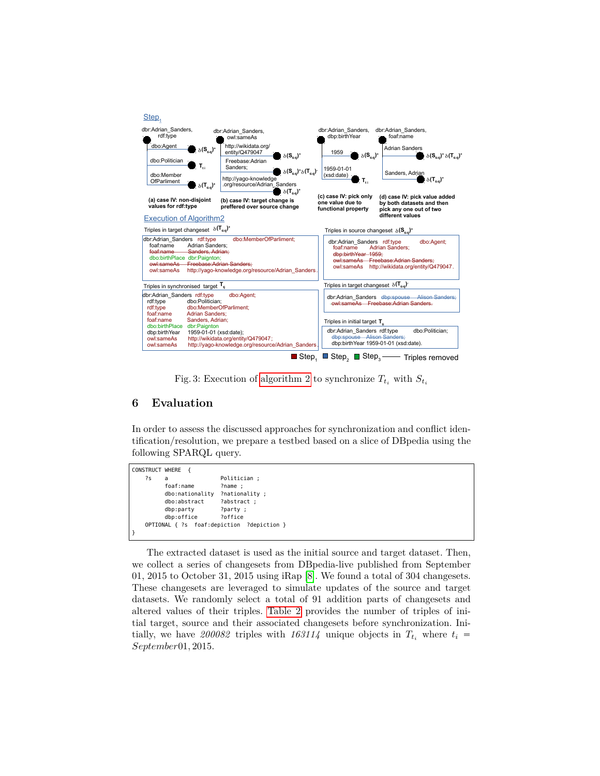

Fig. 3: Execution of algorithm 2 to synchronize  $T_{t_i}$  with  $S_{t_i}$ 

## **6 Evaluation**

In order to assess the discussed approaches for synchronization and conflict identification/resolution, we prepare a testbed based on a slice of DBpedia using the following SPARQL query.

```
CONSTRUCT WHERE {
    ?s a Politician ;
          foaf:name ?name;
          dbo:nationality ?nationality<br>dbo:abstract ?abstract ;
          dbo:abstract
          dbp:party ?party;<br>dbp:office ?office
          dbp:office
    OPTIONAL { ?s foaf:depiction ?depiction }
}
```
The extracted dataset is used as the initial source and target dataset. Then, we collect a series of changesets from DBpedia-live published from September 01, 2015 to October 31, 2015 using iRap [8]. We found a total of 304 changesets. These changesets are leveraged to simulate updates of the source and target datasets. We randomly select a total of 91 addition parts of changesets and altered values of their triples. Table 2 provides the number of triples of initial target, source and their associated changesets before synchronization. Initially, we have  $200082$  triples with  $163114$  unique objects in  $T_{t_i}$  where  $t_i$ *September*01*,* 2015.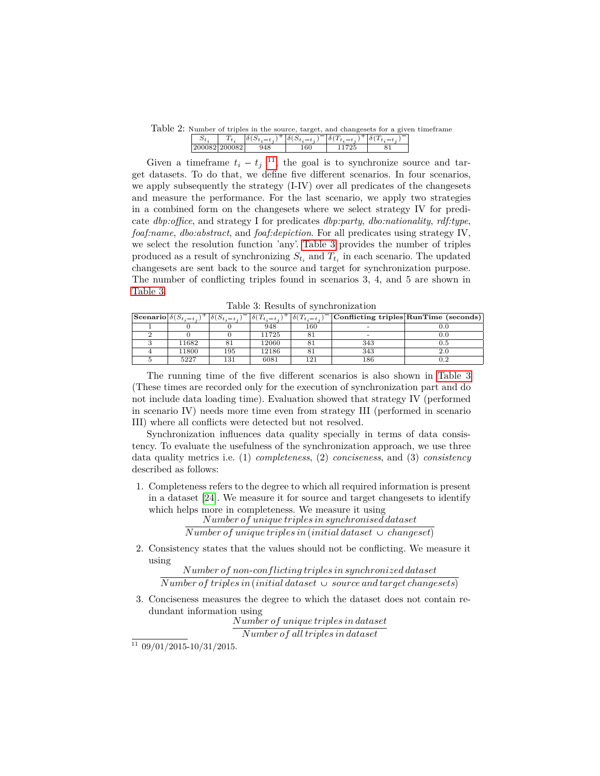|  |               |                                                                                                                   |     |       | Table 2: Number of triples in the source, target, and changesets for a given timeframe |
|--|---------------|-------------------------------------------------------------------------------------------------------------------|-----|-------|----------------------------------------------------------------------------------------|
|  |               | $S_{t_i}$ $T_{t_i}$ $\delta(S_{t_i-t_i})^+  \delta(S_{t_i-t_i})^-  \delta(T_{t_i-t_i})^+  \delta(T_{t_i-t_i})^- $ |     |       |                                                                                        |
|  | 200082 200082 | 948                                                                                                               | 160 | 11725 |                                                                                        |

Given a timeframe  $t_i - t_j$ <sup>11</sup>, the goal is to synchronize source and target datasets. To do that, we define five different scenarios. In four scenarios, we apply subsequently the strategy (I-IV) over all predicates of the changesets and measure the performance. For the last scenario, we apply two strategies in a combined form on the changesets where we select strategy IV for predicate *dbp:office*, and strategy I for predicates *dbp:party*, *dbo:nationality*, *rdf:type*, *foaf:name*, *dbo:abstract*, and *foaf:depiction*. For all predicates using strategy IV, we select the resolution function 'any'. Table 3 provides the number of triples produced as a result of synchronizing  $S_{t_i}$  and  $T_{t_i}$  in each scenario. The updated changesets are sent back to the source and target for synchronization purpose. The number of conflicting triples found in scenarios 3, 4, and 5 are shown in Table 3.

Table 3: Results of synchronization

| $ \textbf{Scenario}  \delta(S_{t_i-t_i})^+   \delta(S_{t_i-t_i}) $ |     | $\delta(T_{t_i-t_i})$ | $\rightarrow$ + $\frac{1}{\delta(T_{t_i}-t_i)}$ |     | Conflicting triples RunTime (seconds) |
|--------------------------------------------------------------------|-----|-----------------------|-------------------------------------------------|-----|---------------------------------------|
|                                                                    |     | 948                   | 160                                             | ۰   | U.U                                   |
|                                                                    |     | 11725                 | 81                                              |     | 0.0                                   |
| 11682                                                              |     | 12060                 |                                                 | 343 | U.O                                   |
| 11800                                                              | 195 | 12186                 | 81                                              | 343 |                                       |
| 5227                                                               | 131 | 6081                  | 191                                             | 186 |                                       |

The running time of the five different scenarios is also shown in Table 3 (These times are recorded only for the execution of synchronization part and do not include data loading time). Evaluation showed that strategy IV (performed in scenario IV) needs more time even from strategy III (performed in scenario III) where all conflicts were detected but not resolved.

Synchronization influences data quality specially in terms of data consistency. To evaluate the usefulness of the synchronization approach, we use three data quality metrics i.e. (1) *completeness*, (2) *conciseness*, and (3) *consistency* described as follows:

1. Completeness refers to the degree to which all required information is present in a dataset [24]. We measure it for source and target changesets to identify which helps more in completeness. We measure it using

*Number of unique triples in synchronised dataset*  $Number of unique triples in (initial dataset \cup changeset)$ 

- 2. Consistency states that the values should not be conflicting. We measure it
- using

*Number of non*-*conflicting triples in synchronized dataset*

 $Number of triples in (initial dataset \cup source and target changesets)$ 

3. Conciseness measures the degree to which the dataset does not contain redundant information using

*Number of unique triples in dataset*

*Number of all triples in dataset*

 $\overline{11}$  09/01/2015-10/31/2015.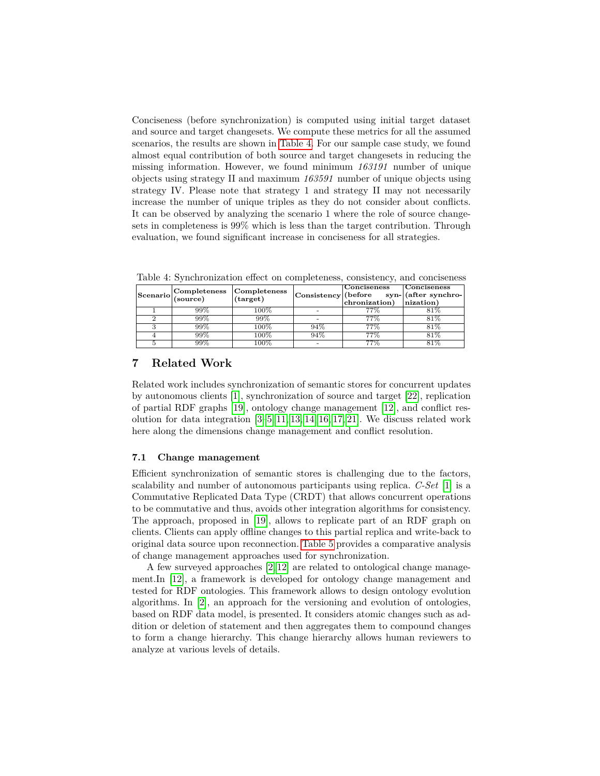Conciseness (before synchronization) is computed using initial target dataset and source and target changesets. We compute these metrics for all the assumed scenarios, the results are shown in Table 4. For our sample case study, we found almost equal contribution of both source and target changesets in reducing the missing information. However, we found minimum *163191* number of unique objects using strategy II and maximum *163591* number of unique objects using strategy IV. Please note that strategy 1 and strategy II may not necessarily increase the number of unique triples as they do not consider about conflicts. It can be observed by analyzing the scenario 1 where the role of source changesets in completeness is 99% which is less than the target contribution. Through evaluation, we found significant increase in conciseness for all strategies.

| $ {\rm Completeness} $<br>$ Scenario $ (source) | Completeness<br>(target) |     | Conciseness<br>chronization) | <b>Conciseness</b><br>Consistency (before syn- (after synchro-<br>nization) |
|-------------------------------------------------|--------------------------|-----|------------------------------|-----------------------------------------------------------------------------|
| 99%                                             | $100\%$                  |     | 77%                          | $81\%$                                                                      |
| 99%                                             | 99%                      |     | 77%                          | 81%                                                                         |
| 99%                                             | $100\%$                  | 94% | 77%                          | 81%                                                                         |
| 99%                                             | $100\%$                  | 94% | 77%                          | 81%                                                                         |
| 99%                                             | $100\%$                  |     | $77\%$                       | 81%                                                                         |

Table 4: Synchronization effect on completeness, consistency, and conciseness

## **7 Related Work**

Related work includes synchronization of semantic stores for concurrent updates by autonomous clients [1], synchronization of source and target [22], replication of partial RDF graphs [19], ontology change management [12], and conflict resolution for data integration  $[3-5, 11, 13, 14, 16, 17, 21]$ . We discuss related work here along the dimensions change management and conflict resolution.

#### **7.1 Change management**

Efficient synchronization of semantic stores is challenging due to the factors, scalability and number of autonomous participants using replica. *C-Set* [1] is a Commutative Replicated Data Type (CRDT) that allows concurrent operations to be commutative and thus, avoids other integration algorithms for consistency. The approach, proposed in [19], allows to replicate part of an RDF graph on clients. Clients can apply offline changes to this partial replica and write-back to original data source upon reconnection. Table 5 provides a comparative analysis of change management approaches used for synchronization.

A few surveyed approaches  $[2, 12]$  are related to ontological change management.In [12], a framework is developed for ontology change management and tested for RDF ontologies. This framework allows to design ontology evolution algorithms. In [2], an approach for the versioning and evolution of ontologies, based on RDF data model, is presented. It considers atomic changes such as addition or deletion of statement and then aggregates them to compound changes to form a change hierarchy. This change hierarchy allows human reviewers to analyze at various levels of details.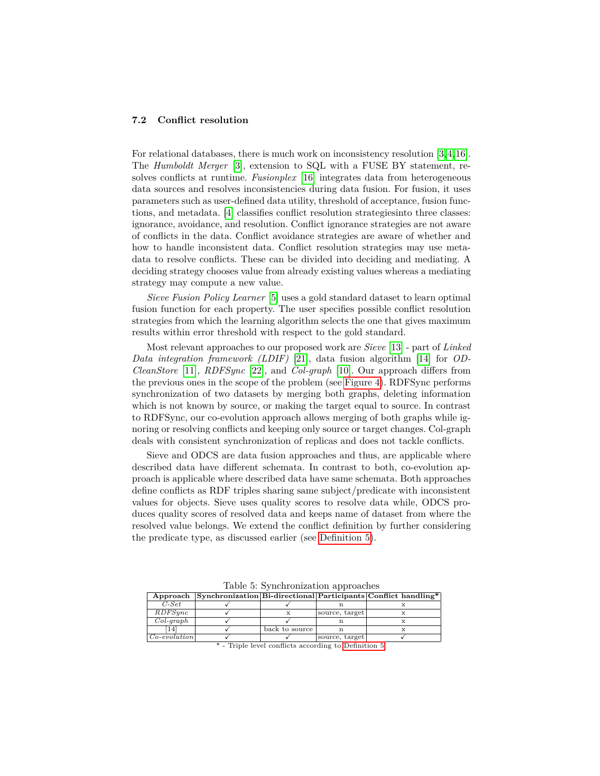#### **7.2 Conflict resolution**

For relational databases, there is much work on inconsistency resolution [3,4,16]. The *Humboldt Merger* [3], extension to SQL with a FUSE BY statement, resolves conflicts at runtime. *Fusionplex* [16] integrates data from heterogeneous data sources and resolves inconsistencies during data fusion. For fusion, it uses parameters such as user-defined data utility, threshold of acceptance, fusion functions, and metadata. [4] classifies conflict resolution strategiesinto three classes: ignorance, avoidance, and resolution. Conflict ignorance strategies are not aware of conflicts in the data. Conflict avoidance strategies are aware of whether and how to handle inconsistent data. Conflict resolution strategies may use metadata to resolve conflicts. These can be divided into deciding and mediating. A deciding strategy chooses value from already existing values whereas a mediating strategy may compute a new value.

*Sieve Fusion Policy Learner* [5] uses a gold standard dataset to learn optimal fusion function for each property. The user specifies possible conflict resolution strategies from which the learning algorithm selects the one that gives maximum results within error threshold with respect to the gold standard.

Most relevant approaches to our proposed work are *Sieve* [13] - part of *Linked Data integration framework (LDIF)* [21], data fusion algorithm [14] for *OD-CleanStore* [11], *RDFSync* [22], and *Col-graph* [10]. Our approach differs from the previous ones in the scope of the problem (see Figure 4). RDFSync performs synchronization of two datasets by merging both graphs, deleting information which is not known by source, or making the target equal to source. In contrast to RDFSync, our co-evolution approach allows merging of both graphs while ignoring or resolving conflicts and keeping only source or target changes. Col-graph deals with consistent synchronization of replicas and does not tackle conflicts.

Sieve and ODCS are data fusion approaches and thus, are applicable where described data have different schemata. In contrast to both, co-evolution approach is applicable where described data have same schemata. Both approaches define conflicts as RDF triples sharing same subject/predicate with inconsistent values for objects. Sieve uses quality scores to resolve data while, ODCS produces quality scores of resolved data and keeps name of dataset from where the resolved value belongs. We extend the conflict definition by further considering the predicate type, as discussed earlier (see Definition 5).

Table 5: Synchronization approaches

| Approach                                                                                     |  |                |                | $ S$ ynchronization $ Bi$ -directional Participants Conflict handling* |
|----------------------------------------------------------------------------------------------|--|----------------|----------------|------------------------------------------------------------------------|
| $C$ -Set                                                                                     |  |                |                |                                                                        |
| $RDFS$ <i>ync</i>                                                                            |  |                | source, target |                                                                        |
| $Col\text{-}graph$                                                                           |  |                |                |                                                                        |
| 14                                                                                           |  | back to source |                |                                                                        |
| $Co-evolution$                                                                               |  |                | source, target |                                                                        |
| $-1$ $-1$ $-1$<br>$\mathbf{r}$ $\mathbf{r}$ $\mathbf{r}$ $\mathbf{r}$ $\mathbf{r}$<br>$\sim$ |  |                |                |                                                                        |

\* - Triple level conflicts according to Definition 5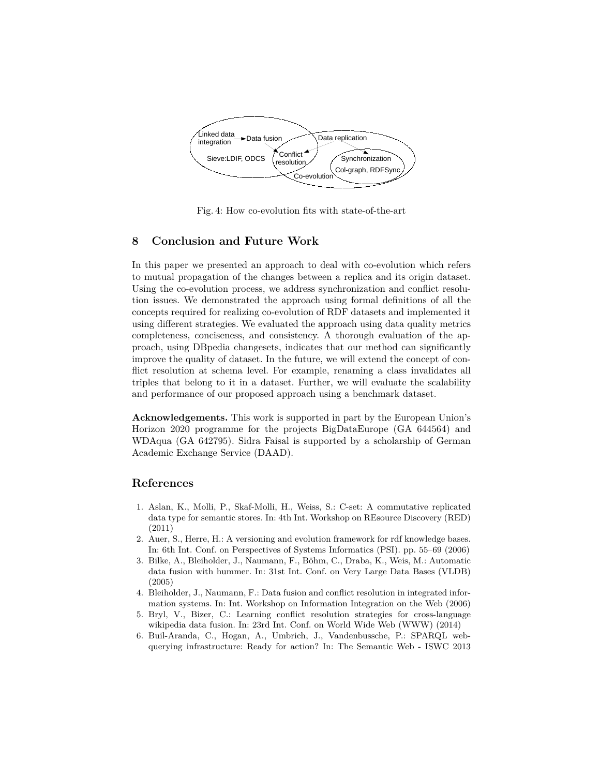

Fig. 4: How co-evolution fits with state-of-the-art

## **8 Conclusion and Future Work**

In this paper we presented an approach to deal with co-evolution which refers to mutual propagation of the changes between a replica and its origin dataset. Using the co-evolution process, we address synchronization and conflict resolution issues. We demonstrated the approach using formal definitions of all the concepts required for realizing co-evolution of RDF datasets and implemented it using different strategies. We evaluated the approach using data quality metrics completeness, conciseness, and consistency. A thorough evaluation of the approach, using DBpedia changesets, indicates that our method can significantly improve the quality of dataset. In the future, we will extend the concept of conflict resolution at schema level. For example, renaming a class invalidates all triples that belong to it in a dataset. Further, we will evaluate the scalability and performance of our proposed approach using a benchmark dataset.

**Acknowledgements.** This work is supported in part by the European Union's Horizon 2020 programme for the projects BigDataEurope (GA 644564) and WDAqua (GA 642795). Sidra Faisal is supported by a scholarship of German Academic Exchange Service (DAAD).

## **References**

- 1. Aslan, K., Molli, P., Skaf-Molli, H., Weiss, S.: C-set: A commutative replicated data type for semantic stores. In: 4th Int. Workshop on REsource Discovery (RED) (2011)
- 2. Auer, S., Herre, H.: A versioning and evolution framework for rdf knowledge bases. In: 6th Int. Conf. on Perspectives of Systems Informatics (PSI). pp. 55–69 (2006)
- 3. Bilke, A., Bleiholder, J., Naumann, F., Böhm, C., Draba, K., Weis, M.: Automatic data fusion with hummer. In: 31st Int. Conf. on Very Large Data Bases (VLDB) (2005)
- 4. Bleiholder, J., Naumann, F.: Data fusion and conflict resolution in integrated information systems. In: Int. Workshop on Information Integration on the Web (2006)
- 5. Bryl, V., Bizer, C.: Learning conflict resolution strategies for cross-language wikipedia data fusion. In: 23rd Int. Conf. on World Wide Web (WWW) (2014)
- 6. Buil-Aranda, C., Hogan, A., Umbrich, J., Vandenbussche, P.: SPARQL webquerying infrastructure: Ready for action? In: The Semantic Web - ISWC 2013